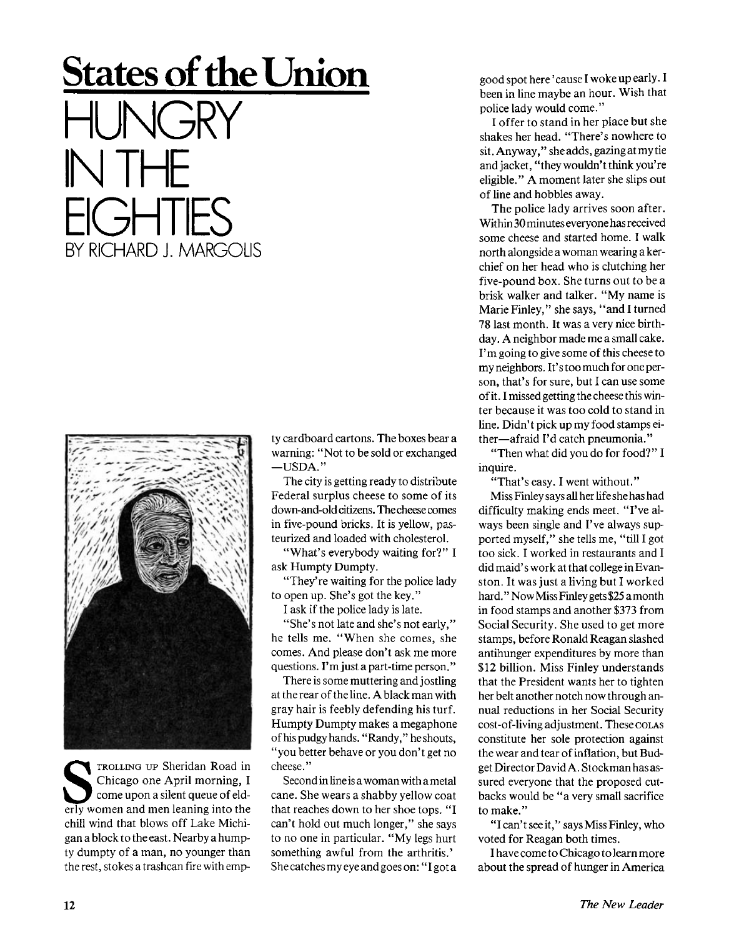## **States of the Union**

HUNGRY IN THE EIGHTIES BY RICHARD J. MARGOLIS



TROLLING UP Sheridan Road in<br>
Chicago one April morning, I<br>
come upon a silent queue of eld-<br>
erly women and men leaning into the TROLLING UP Sheridan Road in Chicago one April morning, I come upon a silent queue of eldchill wind that blows off Lake Michiganablockto the east. Nearbyahumpty dumpty of a man, no younger than the rest, stokes a trashcan fire with emp-

ty cardboard cartons. The boxes bear a warning: "Not to be sold or exchanged —USDA."

The city is getting ready to distribute Federal surplus cheese to some of its down-and-old citizens. The cheese comes in five-pound bricks. It is yellow, pasteurized and loaded with cholesterol.

"What's everybody waiting for?" I ask Humpty Dumpty.

"They're waiting for the police lady to open up. She's got the key."

I ask if the police lady is late.

"She's not late and she's not early," he tells me. "When she comes, she comes. And please don't ask me more questions. I'm just a part-time person."

There is some muttering and jostling at the rear of the line. A black man with gray hair is feebly defending his turf. Humpty Dumpty makes a megaphone of his pudgy hands. "Randy," heshouts, "you better behave or you don't get no cheese."

Second in line is a woman with a metal cane. She wears a shabby yellow coat that reaches down to her shoe tops. "I can't hold out much longer," she says to no one in particular. "My legs hurt something awful from the arthritis.' She catches my eye and goes on: " I got a

good spot here' cause I woke up early. I been in line maybe an hour. Wish that police lady would come."

I offer to stand in her place but she shakes her head. "There's nowhere to sit. Anyway," she adds, gazing at my tie and jacket, "they wouldn't think you're eligible." A moment later she slips out of line and hobbles away.

The police lady arrives soon after. Within 30 minutes everyone has received some cheese and started home. I walk north alongside a woman wearing a kerchief on her head who is clutching her five-pound box. She turns out to be a brisk walker and talker. "My name is Marie Finley," she says, "and I turned 78 last month. It was a very nice birthday. A neighbor made me a small cake. I'm going to give some of this cheese to my neighbors. It's too much for one person, that's for sure, but I can use some of it. I missed getting the cheese this winter because it was too cold to stand in line. Didn't pick up my food stamps either—afraid I'd catch pneumonia."

"Then what did you do for food?" I inquire.

"That's easy. I went without."

Miss Finley says all her life she has had difficulty making ends meet. "I've always been single and I've always supported myself," she tells me, "till I got too sick. I worked in restaurants and I did maid's work at that college in Evanston. It was just a living but I worked hard." Now Miss Finley gets \$25 amonth in food stamps and another \$373 from Social Security. She used to get more stamps, before Ronald Reagan slashed antihunger expenditures by more than \$12 billion. Miss Finley understands that the President wants her to tighten her belt another notch now through annual reductions in her Social Security cost-of-living adjustment. These COLAS constitute her sole protection against the wear and tear of inflation, but Budget Director David A. Stockman has assured everyone that the proposed cutbacks would be "a very small sacrifice to make."

"I can't see it," says Miss Finley, who voted for Reagan both times.

I have come to Chicago to learn more about the spread of hunger in America